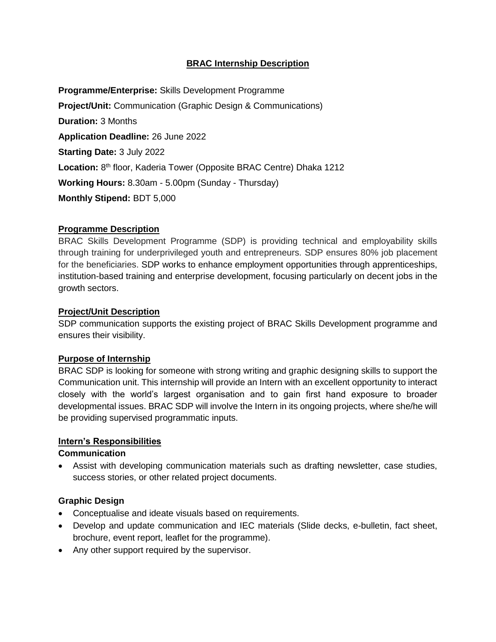# **BRAC Internship Description**

**Programme/Enterprise:** Skills Development Programme **Project/Unit:** Communication (Graphic Design & Communications) **Duration:** 3 Months **Application Deadline:** 26 June 2022 **Starting Date:** 3 July 2022 Location: 8<sup>th</sup> floor, Kaderia Tower (Opposite BRAC Centre) Dhaka 1212 **Working Hours:** 8.30am - 5.00pm (Sunday - Thursday) **Monthly Stipend:** BDT 5,000

## **Programme Description**

BRAC Skills Development Programme (SDP) is providing technical and employability skills through training for underprivileged youth and entrepreneurs. SDP ensures 80% job placement for the beneficiaries. SDP works to enhance employment opportunities through apprenticeships, institution-based training and enterprise development, focusing particularly on decent jobs in the growth sectors.

#### **Project/Unit Description**

SDP communication supports the existing project of BRAC Skills Development programme and ensures their visibility.

## **Purpose of Internship**

BRAC SDP is looking for someone with strong writing and graphic designing skills to support the Communication unit. This internship will provide an Intern with an excellent opportunity to interact closely with the world's largest organisation and to gain first hand exposure to broader developmental issues. BRAC SDP will involve the Intern in its ongoing projects, where she/he will be providing supervised programmatic inputs.

## **Intern's Responsibilities**

#### **Communication**

 Assist with developing communication materials such as drafting newsletter, case studies, success stories, or other related project documents.

## **Graphic Design**

- Conceptualise and ideate visuals based on requirements.
- Develop and update communication and IEC materials (Slide decks, e-bulletin, fact sheet, brochure, event report, leaflet for the programme).
- Any other support required by the supervisor.